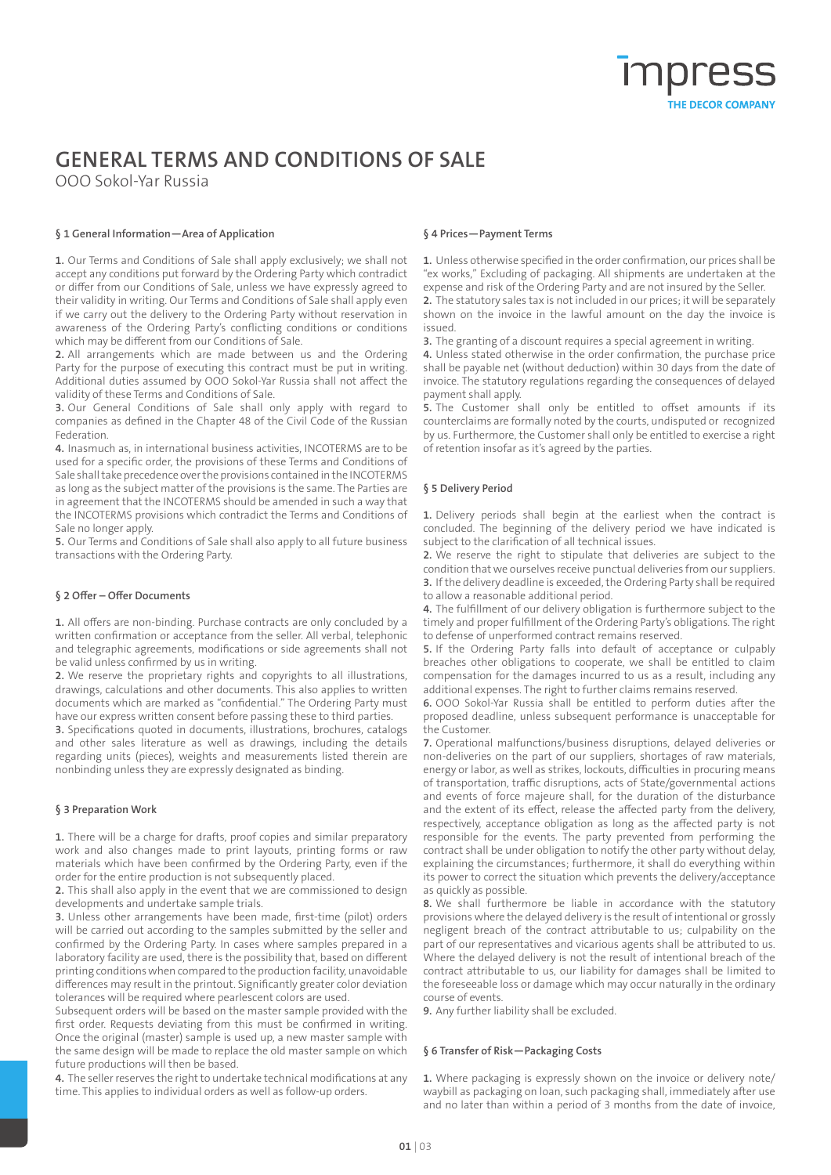# **GENERAL TERMS AND CONDITIONS OF SALE**

OOO Sokol-Yar Russia

# **§ 1 General Information—Area of Application**

**1.** Our Terms and Conditions of Sale shall apply exclusively; we shall not accept any conditions put forward by the Ordering Party which contradict or differ from our Conditions of Sale, unless we have expressly agreed to their validity in writing. Our Terms and Conditions of Sale shall apply even if we carry out the delivery to the Ordering Party without reservation in awareness of the Ordering Party's conflicting conditions or conditions which may be different from our Conditions of Sale.

**2.** All arrangements which are made between us and the Ordering Party for the purpose of executing this contract must be put in writing. Additional duties assumed by OOO Sokol-Yar Russia shall not affect the validity of these Terms and Conditions of Sale.

**3.** Our General Conditions of Sale shall only apply with regard to companies as defined in the Chapter 48 of the Civil Code of the Russian Federation.

**4.** Inasmuch as, in international business activities, INCOTERMS are to be used for a specific order, the provisions of these Terms and Conditions of Sale shall take precedence over the provisions contained in the INCOTERMS as long as the subject matter of the provisions is the same. The Parties are in agreement that the INCOTERMS should be amended in such a way that the INCOTERMS provisions which contradict the Terms and Conditions of Sale no longer apply.

**5.** Our Terms and Conditions of Sale shall also apply to all future business transactions with the Ordering Party.

## **§ 2 Offer – Offer Documents**

**1.** All offers are non-binding. Purchase contracts are only concluded by a written confirmation or acceptance from the seller. All verbal, telephonic and telegraphic agreements, modifications or side agreements shall not be valid unless confirmed by us in writing.

**2.** We reserve the proprietary rights and copyrights to all illustrations, drawings, calculations and other documents. This also applies to written documents which are marked as "confidential." The Ordering Party must have our express written consent before passing these to third parties.

**3.** Specifications quoted in documents, illustrations, brochures, catalogs and other sales literature as well as drawings, including the details regarding units (pieces), weights and measurements listed therein are nonbinding unless they are expressly designated as binding.

## **§ 3 Preparation Work**

**1.** There will be a charge for drafts, proof copies and similar preparatory work and also changes made to print layouts, printing forms or raw materials which have been confirmed by the Ordering Party, even if the order for the entire production is not subsequently placed.

**2.** This shall also apply in the event that we are commissioned to design developments and undertake sample trials.

**3.** Unless other arrangements have been made, first-time (pilot) orders will be carried out according to the samples submitted by the seller and confirmed by the Ordering Party. In cases where samples prepared in a laboratory facility are used, there is the possibility that, based on different printing conditions when compared to the production facility, unavoidable differences may result in the printout. Significantly greater color deviation tolerances will be required where pearlescent colors are used.

Subsequent orders will be based on the master sample provided with the first order. Requests deviating from this must be confirmed in writing. Once the original (master) sample is used up, a new master sample with the same design will be made to replace the old master sample on which future productions will then be based.

**4.** The seller reserves the right to undertake technical modifications at any time. This applies to individual orders as well as follow-up orders.

### **§ 4 Prices—Payment Terms**

**1.** Unless otherwise specified in the order confirmation, our prices shall be "ex works," Excluding of packaging. All shipments are undertaken at the expense and risk of the Ordering Party and are not insured by the Seller. **2.** The statutory sales tax is not included in our prices; it will be separately shown on the invoice in the lawful amount on the day the invoice is issued.

**3.** The granting of a discount requires a special agreement in writing. **4.** Unless stated otherwise in the order confirmation, the purchase price shall be payable net (without deduction) within 30 days from the date of invoice. The statutory regulations regarding the consequences of delayed payment shall apply.

**5.** The Customer shall only be entitled to offset amounts if its counterclaims are formally noted by the courts, undisputed or recognized by us. Furthermore, the Customer shall only be entitled to exercise a right of retention insofar as it's agreed by the parties.

## **§ 5 Delivery Period**

**1.** Delivery periods shall begin at the earliest when the contract is concluded. The beginning of the delivery period we have indicated is subject to the clarification of all technical issues.

**2.** We reserve the right to stipulate that deliveries are subject to the condition that we ourselves receive punctual deliveries from our suppliers. **3.** If the delivery deadline is exceeded, the Ordering Party shall be required to allow a reasonable additional period.

**4.** The fulfillment of our delivery obligation is furthermore subject to the timely and proper fulfillment of the Ordering Party's obligations. The right to defense of unperformed contract remains reserved.

**5.** If the Ordering Party falls into default of acceptance or culpably breaches other obligations to cooperate, we shall be entitled to claim compensation for the damages incurred to us as a result, including any additional expenses. The right to further claims remains reserved.

**6.** OOO Sokol-Yar Russia shall be entitled to perform duties after the proposed deadline, unless subsequent performance is unacceptable for the Customer.

**7.** Operational malfunctions/business disruptions, delayed deliveries or non-deliveries on the part of our suppliers, shortages of raw materials, energy or labor, as well as strikes, lockouts, difficulties in procuring means of transportation, traffic disruptions, acts of State/governmental actions and events of force majeure shall, for the duration of the disturbance and the extent of its effect, release the affected party from the delivery, respectively, acceptance obligation as long as the affected party is not responsible for the events. The party prevented from performing the contract shall be under obligation to notify the other party without delay, explaining the circumstances; furthermore, it shall do everything within its power to correct the situation which prevents the delivery/acceptance as quickly as possible.

**8.** We shall furthermore be liable in accordance with the statutory provisions where the delayed delivery is the result of intentional or grossly negligent breach of the contract attributable to us; culpability on the part of our representatives and vicarious agents shall be attributed to us. Where the delayed delivery is not the result of intentional breach of the contract attributable to us, our liability for damages shall be limited to the foreseeable loss or damage which may occur naturally in the ordinary course of events.

**9.** Any further liability shall be excluded.

## **§ 6 Transfer of Risk—Packaging Costs**

**1.** Where packaging is expressly shown on the invoice or delivery note/ waybill as packaging on loan, such packaging shall, immediately after use and no later than within a period of 3 months from the date of invoice,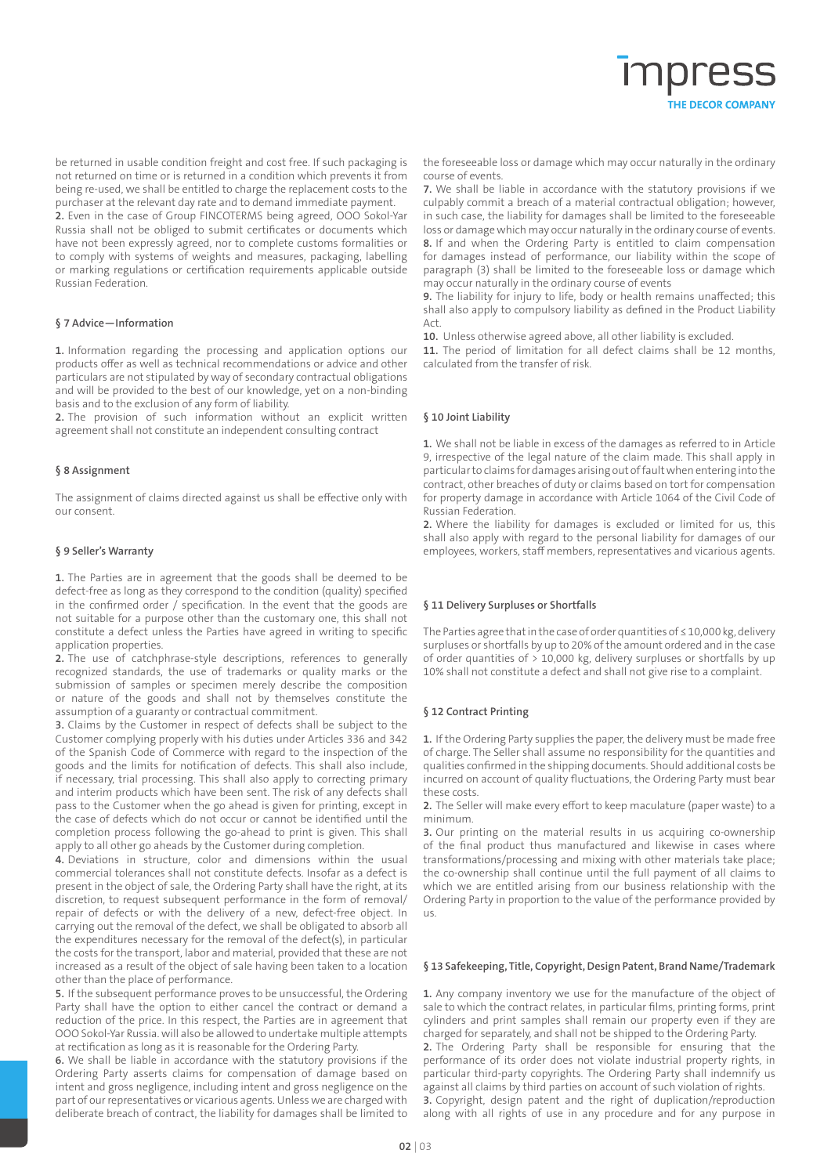be returned in usable condition freight and cost free. If such packaging is not returned on time or is returned in a condition which prevents it from being re-used, we shall be entitled to charge the replacement costs to the purchaser at the relevant day rate and to demand immediate payment.

**2.** Even in the case of Group FINCOTERMS being agreed, OOO Sokol-Yar Russia shall not be obliged to submit certificates or documents which have not been expressly agreed, nor to complete customs formalities or to comply with systems of weights and measures, packaging, labelling or marking regulations or certification requirements applicable outside Russian Federation.

#### **§ 7 Advice—Information**

**1.** Information regarding the processing and application options our products offer as well as technical recommendations or advice and other particulars are not stipulated by way of secondary contractual obligations and will be provided to the best of our knowledge, yet on a non-binding basis and to the exclusion of any form of liability.

**2.** The provision of such information without an explicit written agreement shall not constitute an independent consulting contract

#### **§ 8 Assignment**

The assignment of claims directed against us shall be effective only with our consent.

#### **§ 9 Seller's Warranty**

**1.** The Parties are in agreement that the goods shall be deemed to be defect-free as long as they correspond to the condition (quality) specified in the confirmed order / specification. In the event that the goods are not suitable for a purpose other than the customary one, this shall not constitute a defect unless the Parties have agreed in writing to specific application properties.

**2.** The use of catchphrase-style descriptions, references to generally recognized standards, the use of trademarks or quality marks or the submission of samples or specimen merely describe the composition or nature of the goods and shall not by themselves constitute the assumption of a guaranty or contractual commitment.

**3.** Claims by the Customer in respect of defects shall be subject to the Customer complying properly with his duties under Articles 336 and 342 of the Spanish Code of Commerce with regard to the inspection of the goods and the limits for notification of defects. This shall also include, if necessary, trial processing. This shall also apply to correcting primary and interim products which have been sent. The risk of any defects shall pass to the Customer when the go ahead is given for printing, except in the case of defects which do not occur or cannot be identified until the completion process following the go-ahead to print is given. This shall apply to all other go aheads by the Customer during completion.

**4.** Deviations in structure, color and dimensions within the usual commercial tolerances shall not constitute defects. Insofar as a defect is present in the object of sale, the Ordering Party shall have the right, at its discretion, to request subsequent performance in the form of removal/ repair of defects or with the delivery of a new, defect-free object. In carrying out the removal of the defect, we shall be obligated to absorb all the expenditures necessary for the removal of the defect(s), in particular the costs for the transport, labor and material, provided that these are not increased as a result of the object of sale having been taken to a location other than the place of performance.

**5.** If the subsequent performance proves to be unsuccessful, the Ordering Party shall have the option to either cancel the contract or demand a reduction of the price. In this respect, the Parties are in agreement that OOO Sokol-Yar Russia. will also be allowed to undertake multiple attempts at rectification as long as it is reasonable for the Ordering Party.

**6.** We shall be liable in accordance with the statutory provisions if the Ordering Party asserts claims for compensation of damage based on intent and gross negligence, including intent and gross negligence on the part of our representatives or vicarious agents. Unless we are charged with deliberate breach of contract, the liability for damages shall be limited to the foreseeable loss or damage which may occur naturally in the ordinary course of events.

THE DECOR COMPANY

**7.** We shall be liable in accordance with the statutory provisions if we culpably commit a breach of a material contractual obligation; however, in such case, the liability for damages shall be limited to the foreseeable loss or damage which may occur naturally in the ordinary course of events. **8.** If and when the Ordering Party is entitled to claim compensation for damages instead of performance, our liability within the scope of paragraph (3) shall be limited to the foreseeable loss or damage which may occur naturally in the ordinary course of events

**9.** The liability for injury to life, body or health remains unaffected; this shall also apply to compulsory liability as defined in the Product Liability Act.

**10.** Unless otherwise agreed above, all other liability is excluded.

**11.** The period of limitation for all defect claims shall be 12 months, calculated from the transfer of risk.

#### **§ 10 Joint Liability**

**1.** We shall not be liable in excess of the damages as referred to in Article 9, irrespective of the legal nature of the claim made. This shall apply in particular to claims for damages arising out of fault when entering into the contract, other breaches of duty or claims based on tort for compensation for property damage in accordance with Article 1064 of the Civil Code of Russian Federation.

**2.** Where the liability for damages is excluded or limited for us, this shall also apply with regard to the personal liability for damages of our employees, workers, staff members, representatives and vicarious agents.

#### **§ 11 Delivery Surpluses or Shortfalls**

The Parties agree that in the case of order quantities of ≤ 10,000 kg, delivery surpluses or shortfalls by up to 20% of the amount ordered and in the case of order quantities of > 10,000 kg, delivery surpluses or shortfalls by up 10% shall not constitute a defect and shall not give rise to a complaint.

#### **§ 12 Contract Printing**

**1.** If the Ordering Party supplies the paper, the delivery must be made free of charge. The Seller shall assume no responsibility for the quantities and qualities confirmed in the shipping documents. Should additional costs be incurred on account of quality fluctuations, the Ordering Party must bear these costs.

**2.** The Seller will make every effort to keep maculature (paper waste) to a minimum.

**3.** Our printing on the material results in us acquiring co-ownership of the final product thus manufactured and likewise in cases where transformations/processing and mixing with other materials take place; the co-ownership shall continue until the full payment of all claims to which we are entitled arising from our business relationship with the Ordering Party in proportion to the value of the performance provided by  $|I| \leq$ 

#### **§ 13 Safekeeping, Title, Copyright, Design Patent, Brand Name/Trademark**

**1.** Any company inventory we use for the manufacture of the object of sale to which the contract relates, in particular films, printing forms, print cylinders and print samples shall remain our property even if they are charged for separately, and shall not be shipped to the Ordering Party.

**2.** The Ordering Party shall be responsible for ensuring that the performance of its order does not violate industrial property rights, in particular third-party copyrights. The Ordering Party shall indemnify us against all claims by third parties on account of such violation of rights. **3.** Copyright, design patent and the right of duplication/reproduction

along with all rights of use in any procedure and for any purpose in